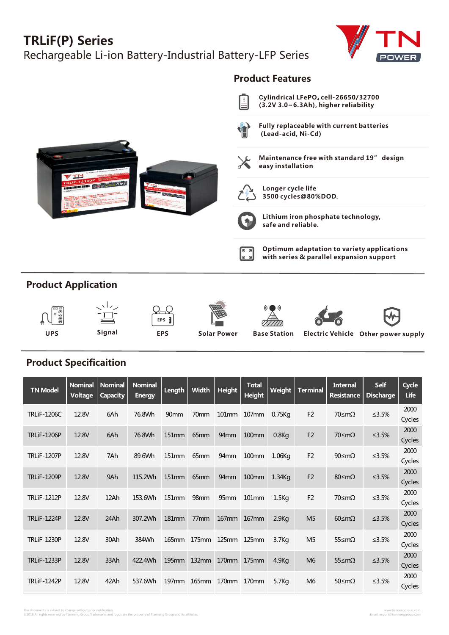## **TRLiF(P) Series**

Rechargeable Li-ion Battery-Industrial Battery-LFP Series





## **Product Specificaition**

| <b>TN Model</b>    | <b>Nominal</b><br>Voltage | <b>Nominal</b><br><b>Capacity</b> | <b>Nominal</b><br><b>Energy</b> | Length            | Width            | Height              | <b>Total</b><br><b>Height</b> | Weight            | <b>Terminal</b> | <b>Internal</b><br><b>Resistance</b> | <b>Self</b><br><b>Discharge</b> | Cycle<br>Life  |
|--------------------|---------------------------|-----------------------------------|---------------------------------|-------------------|------------------|---------------------|-------------------------------|-------------------|-----------------|--------------------------------------|---------------------------------|----------------|
| <b>TRLiF-1206C</b> | 12.8V                     | 6Ah                               | 76.8Wh                          | 90 <sub>mm</sub>  | 70mm             |                     | 101mm 107mm                   | 0.75Kq            | F <sub>2</sub>  | 70≤mΩ                                | ≤ $3.5%$                        | 2000<br>Cycles |
| <b>TRLiF-1206P</b> | 12.8V                     | 6Ah                               | 76.8Wh                          | 151mm             | 65 <sub>mm</sub> | 94 <sub>mm</sub>    | <b>100mm</b>                  | $0.8$ Kg          | F <sub>2</sub>  | 70≤mΩ                                | ≤ $3.5%$                        | 2000<br>Cycles |
| <b>TRLiF-1207P</b> | 12.8V                     | 7Ah                               | 89.6Wh                          | 151 <sub>mm</sub> | 65 <sub>mm</sub> | 94 <sub>mm</sub>    | 100mm                         | 1.06Kg            | F <sub>2</sub>  | 90≤mΩ                                | $≤3.5%$                         | 2000<br>Cycles |
| <b>TRLiF-1209P</b> | 12.8V                     | 9Ah                               | 115.2Wh                         | 151mm             | 65mm             | 94 <sub>mm</sub>    | 100mm                         | 1.34Kg            | F <sub>2</sub>  | 80≤mΩ                                | ≤ $3.5%$                        | 2000<br>Cycles |
| <b>TRLiF-1212P</b> | 12.8V                     | 12Ah                              | 153.6Wh                         | 151 <sub>mm</sub> | 98 <sub>mm</sub> | 95 <sub>mm</sub>    | 101 <sub>mm</sub>             | $1.5$ Kg          | F <sub>2</sub>  | 70≤mΩ                                | $≤3.5%$                         | 2000<br>Cycles |
| <b>TRLiF-1224P</b> | 12.8V                     | 24Ah                              | 307.2Wh                         | 181 <sub>mm</sub> | 77 <sub>mm</sub> | $167$ <sub>mm</sub> | 167 <sub>mm</sub>             | 2.9Kg             | M <sub>5</sub>  | $60 \leq m\Omega$                    | ≤3.5%                           | 2000<br>Cycles |
| <b>TRLiF-1230P</b> | 12.8V                     | 30Ah                              | 384Wh                           | 165mm             |                  | 175mm 125mm 125mm   |                               | 3.7 <sub>Kq</sub> | M <sub>5</sub>  | 55≤mΩ                                | ≤ $3.5%$                        | 2000<br>Cycles |
| <b>TRLiF-1233P</b> | 12.8V                     | 33Ah                              | 422.4Wh                         | <b>195mm</b>      | $132$ mm         | 170mm               | 175mm                         | 4.9K <sub>G</sub> | M <sub>6</sub>  | 55≤mΩ                                | $≤3.5%$                         | 2000<br>Cycles |
| <b>TRLiF-1242P</b> | 12.8V                     | 42Ah                              | 537.6Wh                         | $197$ mm          | 165mm            | 170mm               | 170 <sub>mm</sub>             | 5.7K <sub>G</sub> | M <sub>6</sub>  | 50≤mΩ                                | $≤3.5%$                         | 2000<br>Cycles |